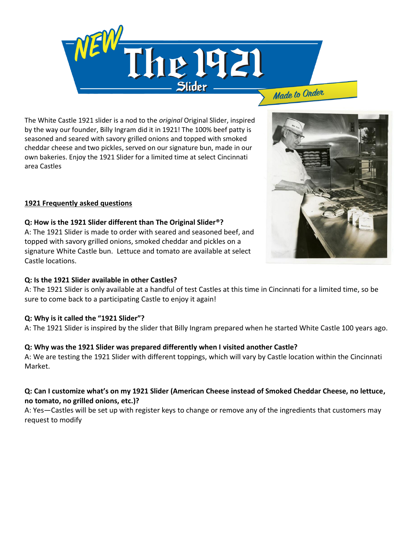

The White Castle 1921 slider is a nod to the *original* Original Slider, inspired by the way our founder, Billy Ingram did it in 1921! The 100% beef patty is seasoned and seared with savory grilled onions and topped with smoked cheddar cheese and two pickles, served on our signature bun, made in our own bakeries. Enjoy the 1921 Slider for a limited time at select Cincinnati area Castles

## **1921 Frequently asked questions**

#### **Q: How is the 1921 Slider different than The Original Slider®?**

A: The 1921 Slider is made to order with seared and seasoned beef, and topped with savory grilled onions, smoked cheddar and pickles on a signature White Castle bun. Lettuce and tomato are available at select Castle locations.

#### **Q: Is the 1921 Slider available in other Castles?**

A: The 1921 Slider is only available at a handful of test Castles at this time in Cincinnati for a limited time, so be sure to come back to a participating Castle to enjoy it again!

#### **Q: Why is it called the "1921 Slider"?**

A: The 1921 Slider is inspired by the slider that Billy Ingram prepared when he started White Castle 100 years ago.

#### **Q: Why was the 1921 Slider was prepared differently when I visited another Castle?**

A: We are testing the 1921 Slider with different toppings, which will vary by Castle location within the Cincinnati Market.

### **Q: Can I customize what's on my 1921 Slider (American Cheese instead of Smoked Cheddar Cheese, no lettuce, no tomato, no grilled onions, etc.)?**

A: Yes—Castles will be set up with register keys to change or remove any of the ingredients that customers may request to modify